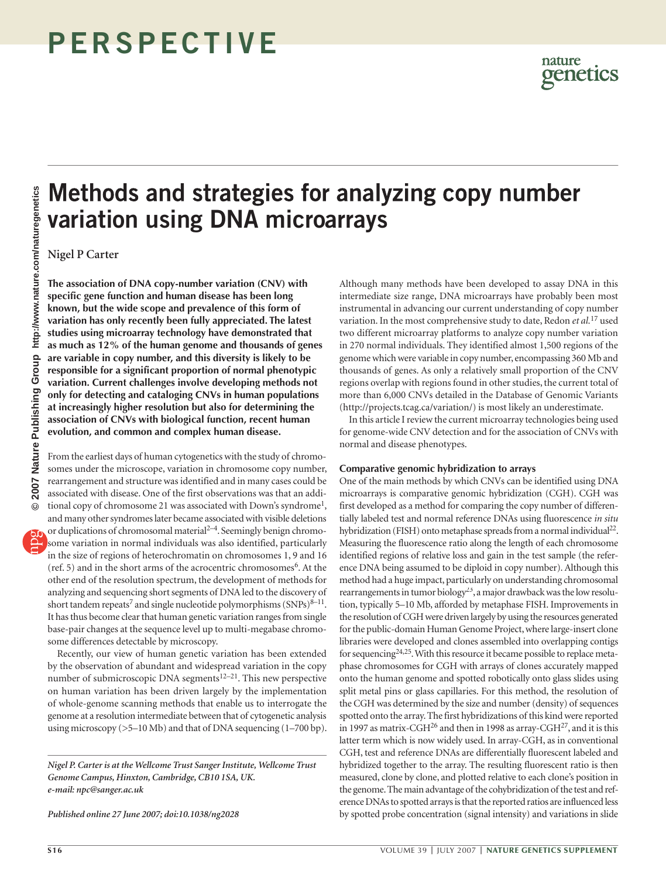# **PERSPECTIVE**

## **Methods and strategies for analyzing copy number variation using DNA microarrays**

**Nigel P Carter**

**The association of DNA copy-number variation (CNV) with specific gene function and human disease has been long known, but the wide scope and prevalence of this form of variation has only recently been fully appreciated. The latest studies using microarray technology have demonstrated that as much as 12% of the human genome and thousands of genes are variable in copy number, and this diversity is likely to be responsible for a significant proportion of normal phenotypic variation. Current challenges involve developing methods not only for detecting and cataloging CNVs in human populations at increasingly higher resolution but also for determining the association of CNVs with biological function, recent human evolution, and common and complex human disease.**

From the earliest days of human cytogenetics with the study of chromosomes under the microscope, variation in chromosome copy number, rearrangement and structure was identified and in many cases could be associated with disease. One of the first observations was that an additional copy of chromosome 21 was associated with Down's syndrome<sup>1</sup>, and many other syndromes later became associated with visible deletions or duplications of chromosomal material<sup>2-4</sup>. Seemingly benign chromosome variation in normal individuals was also identified, particularly in the size of regions of heterochromatin on chromosomes 1, 9 and 16 (ref. 5) and in the short arms of the acrocentric chromosomes<sup>6</sup>. At the other end of the resolution spectrum, the development of methods for analyzing and sequencing short segments of DNA led to the discovery of short tandem repeats<sup>7</sup> and single nucleotide polymorphisms (SNPs)<sup>8-11</sup>. It has thus become clear that human genetic variation ranges from single base-pair changes at the sequence level up to multi-megabase chromosome differences detectable by microscopy.

Recently, our view of human genetic variation has been extended by the observation of abundant and widespread variation in the copy number of submicroscopic DNA segments $12-21$ . This new perspective on human variation has been driven largely by the implementation of whole-genome scanning methods that enable us to interrogate the genome at a resolution intermediate between that of cytogenetic analysis using microscopy ( $>5-10$  Mb) and that of DNA sequencing (1–700 bp).

*Published online 27 June 2007; doi:10.1038/ng2028*

Although many methods have been developed to assay DNA in this intermediate size range, DNA microarrays have probably been most instrumental in advancing our current understanding of copy number variation. In the most comprehensive study to date, Redon *et al.*17 used two different microarray platforms to analyze copy number variation in 270 normal individuals. They identified almost 1,500 regions of the genome which were variable in copy number, encompassing 360 Mb and thousands of genes. As only a relatively small proportion of the CNV regions overlap with regions found in other studies, the current total of more than 6,000 CNVs detailed in the Database of Genomic Variants (http://projects.tcag.ca/variation/) is most likely an underestimate.

In this article I review the current microarray technologies being used for genome-wide CNV detection and for the association of CNVs with normal and disease phenotypes.

#### **Comparative genomic hybridization to arrays**

One of the main methods by which CNVs can be identified using DNA microarrays is comparative genomic hybridization (CGH). CGH was first developed as a method for comparing the copy number of differentially labeled test and normal reference DNAs using fluorescence *in situ* hybridization (FISH) onto metaphase spreads from a normal individual<sup>22</sup>. Measuring the fluorescence ratio along the length of each chromosome identified regions of relative loss and gain in the test sample (the reference DNA being assumed to be diploid in copy number). Although this method had a huge impact, particularly on understanding chromosomal rearrangements in tumor biology<sup>23</sup>, a major drawback was the low resolution, typically 5–10 Mb, afforded by metaphase FISH. Improvements in the resolution of CGH were driven largely by using the resources generated for the public-domain Human Genome Project, where large-insert clone libraries were developed and clones assembled into overlapping contigs for sequencing<sup>24,25</sup>. With this resource it became possible to replace metaphase chromosomes for CGH with arrays of clones accurately mapped onto the human genome and spotted robotically onto glass slides using split metal pins or glass capillaries. For this method, the resolution of the CGH was determined by the size and number (density) of sequences spotted onto the array. The first hybridizations of this kind were reported in 1997 as matrix-CGH<sup>26</sup> and then in 1998 as array-CGH<sup>27</sup>, and it is this latter term which is now widely used. In array-CGH, as in conventional CGH, test and reference DNAs are differentially fluorescent labeled and hybridized together to the array. The resulting fluorescent ratio is then measured, clone by clone, and plotted relative to each clone's position in the genome. The main advantage of the cohybridization of the test and reference DNAs to spotted arrays is that the reported ratios are influenced less by spotted probe concentration (signal intensity) and variations in slide

*Nigel P. Carter is at the Wellcome Trust Sanger Institute, Wellcome Trust Genome Campus, Hinxton, Cambridge, CB10 1SA, UK. e-mail: npc@sanger.ac.uk*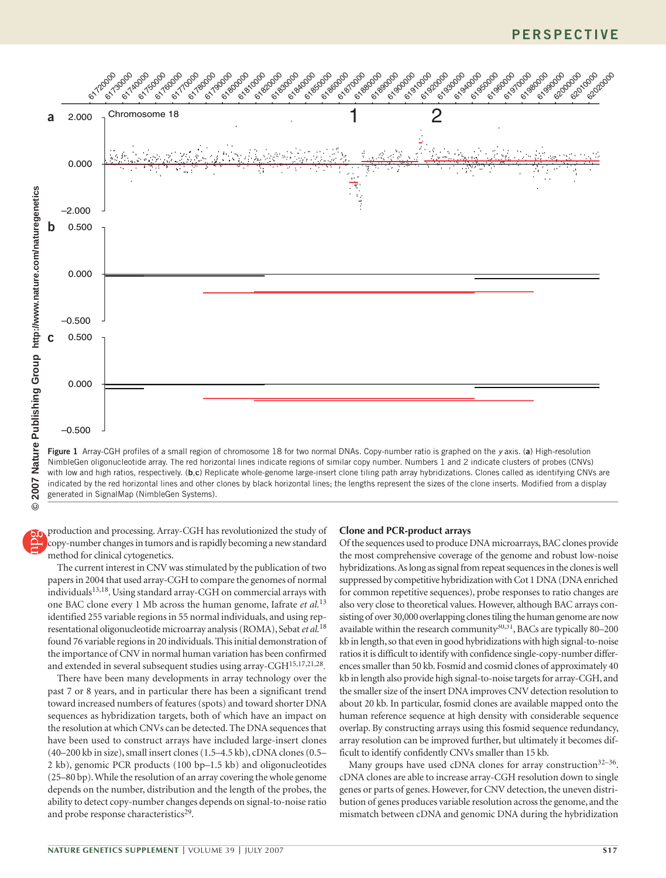

Figure 1 Array-CGH profiles of a small region of chromosome 18 for two normal DNAs. Copy-number ratio is graphed on the yaxis. (a) High-resolution NimbleGen oligonucleotide array. The red horizontal lines indicate regions of similar copy number. Numbers 1 and 2 indicate clusters of probes (CNVs) with low and high ratios, respectively. (**b**,**c**) Replicate whole-genome large-insert clone tiling path array hybridizations. Clones called as identifying CNVs are indicated by the red horizontal lines and other clones by black horizontal lines; the lengths represent the sizes of the clone inserts. Modified from a display generated in SignalMap (NimbleGen Systems).

production and processing. Array-CGH has revolutionized the study of copy-number changes in tumors and is rapidly becoming a new standard method for clinical cytogenetics.

**© 200**

The current interest in CNV was stimulated by the publication of two papers in 2004 that used array-CGH to compare the genomes of normal individuals<sup>13,18</sup>. Using standard array-CGH on commercial arrays with one BAC clone every 1 Mb across the human genome, Iafrate *et al.*<sup>13</sup> identified 255 variable regions in 55 normal individuals, and using representational oligonucleotide microarray analysis (ROMA), Sebat *et al.*<sup>18</sup> found 76 variable regions in 20 individuals. This initial demonstration of the importance of CNV in normal human variation has been confirmed and extended in several subsequent studies using array-CGH<sup>15,17,21,28</sup>.

There have been many developments in array technology over the past 7 or 8 years, and in particular there has been a significant trend toward increased numbers of features (spots) and toward shorter DNA sequences as hybridization targets, both of which have an impact on the resolution at which CNVs can be detected. The DNA sequences that have been used to construct arrays have included large-insert clones (40–200 kb in size), small insert clones (1.5–4.5 kb), cDNA clones (0.5– 2 kb), genomic PCR products (100 bp–1.5 kb) and oligonucleotides (25–80 bp). While the resolution of an array covering the whole genome depends on the number, distribution and the length of the probes, the ability to detect copy-number changes depends on signal-to-noise ratio and probe response characteristics<sup>29</sup>.

#### **Clone and PCR-product arrays**

Of the sequences used to produce DNA microarrays, BAC clones provide the most comprehensive coverage of the genome and robust low-noise hybridizations. As long as signal from repeat sequences in the clones is well suppressed by competitive hybridization with Cot 1 DNA (DNA enriched for common repetitive sequences), probe responses to ratio changes are also very close to theoretical values. However, although BAC arrays consisting of over 30,000 overlapping clones tiling the human genome are now available within the research community $30,31$ , BACs are typically 80–200 kb in length, so that even in good hybridizations with high signal-to-noise ratios it is difficult to identify with confidence single-copy-number differences smaller than 50 kb. Fosmid and cosmid clones of approximately 40 kb in length also provide high signal-to-noise targets for array-CGH, and the smaller size of the insert DNA improves CNV detection resolution to about 20 kb. In particular, fosmid clones are available mapped onto the human reference sequence at high density with considerable sequence overlap. By constructing arrays using this fosmid sequence redundancy, array resolution can be improved further, but ultimately it becomes difficult to identify confidently CNVs smaller than 15 kb.

Many groups have used cDNA clones for array construction<sup>32-36</sup>. cDNA clones are able to increase array-CGH resolution down to single genes or parts of genes. However, for CNV detection, the uneven distribution of genes produces variable resolution across the genome, and the mismatch between cDNA and genomic DNA during the hybridization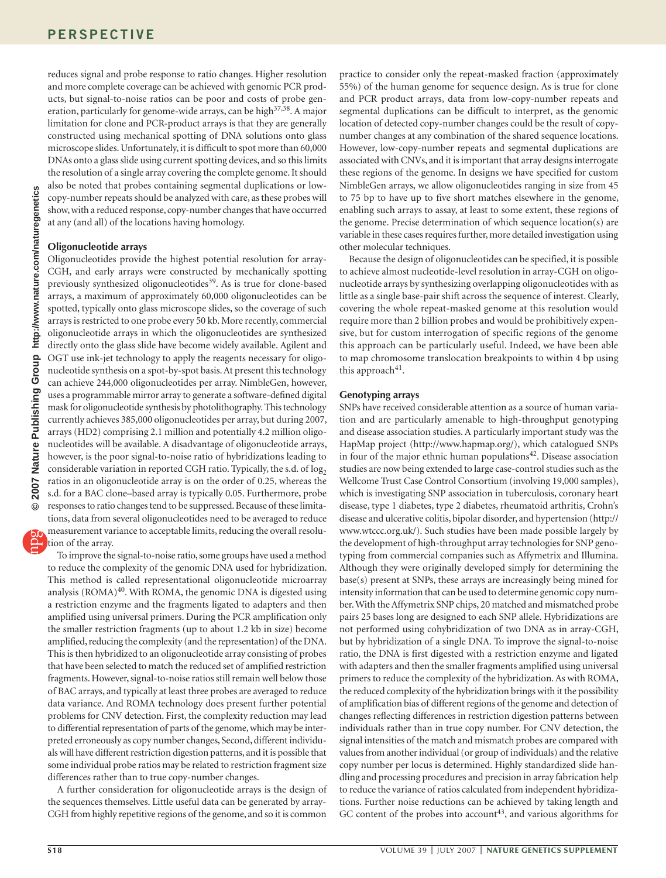### **PERSPECTIVE**

reduces signal and probe response to ratio changes. Higher resolution and more complete coverage can be achieved with genomic PCR products, but signal-to-noise ratios can be poor and costs of probe generation, particularly for genome-wide arrays, can be high<sup>37,38</sup>. A major limitation for clone and PCR-product arrays is that they are generally constructed using mechanical spotting of DNA solutions onto glass microscope slides. Unfortunately, it is difficult to spot more than 60,000 DNAs onto a glass slide using current spotting devices, and so this limits the resolution of a single array covering the complete genome. It should also be noted that probes containing segmental duplications or lowcopy-number repeats should be analyzed with care, as these probes will show, with a reduced response, copy-number changes that have occurred at any (and all) of the locations having homology.

#### **Oligonucleotide arrays**

Oligonucleotides provide the highest potential resolution for array-CGH, and early arrays were constructed by mechanically spotting previously synthesized oligonucleotides<sup>39</sup>. As is true for clone-based arrays, a maximum of approximately 60,000 oligonucleotides can be spotted, typically onto glass microscope slides, so the coverage of such arrays is restricted to one probe every 50 kb. More recently, commercial oligonucleotide arrays in which the oligonucleotides are synthesized directly onto the glass slide have become widely available. Agilent and OGT use ink-jet technology to apply the reagents necessary for oligonucleotide synthesis on a spot-by-spot basis. At present this technology can achieve 244,000 oligonucleotides per array. NimbleGen, however, uses a programmable mirror array to generate a software-defined digital mask for oligonucleotide synthesis by photolithography. This technology currently achieves 385,000 oligonucleotides per array, but during 2007, arrays (HD2) comprising 2.1 million and potentially 4.2 million oligonucleotides will be available. A disadvantage of oligonucleotide arrays, however, is the poor signal-to-noise ratio of hybridizations leading to considerable variation in reported CGH ratio. Typically, the s.d. of log<sub>2</sub> ratios in an oligonucleotide array is on the order of 0.25, whereas the s.d. for a BAC clone–based array is typically 0.05. Furthermore, probe responses to ratio changes tend to be suppressed. Because of these limitations, data from several oligonucleotides need to be averaged to reduce measurement variance to acceptable limits, reducing the overall resolution of the array.

To improve the signal-to-noise ratio, some groups have used a method to reduce the complexity of the genomic DNA used for hybridization. This method is called representational oligonucleotide microarray analysis (ROMA)<sup>40</sup>. With ROMA, the genomic DNA is digested using a restriction enzyme and the fragments ligated to adapters and then amplified using universal primers. During the PCR amplification only the smaller restriction fragments (up to about 1.2 kb in size) become amplified, reducing the complexity (and the representation) of the DNA. This is then hybridized to an oligonucleotide array consisting of probes that have been selected to match the reduced set of amplified restriction fragments. However, signal-to-noise ratios still remain well below those of BAC arrays, and typically at least three probes are averaged to reduce data variance. And ROMA technology does present further potential problems for CNV detection. First, the complexity reduction may lead to differential representation of parts of the genome, which may be interpreted erroneously as copy number changes, Second, different individuals will have different restriction digestion patterns, and it is possible that some individual probe ratios may be related to restriction fragment size differences rather than to true copy-number changes.

A further consideration for oligonucleotide arrays is the design of the sequences themselves. Little useful data can be generated by array-CGH from highly repetitive regions of the genome, and so it is common

practice to consider only the repeat-masked fraction (approximately 55%) of the human genome for sequence design. As is true for clone and PCR product arrays, data from low-copy-number repeats and segmental duplications can be difficult to interpret, as the genomic location of detected copy-number changes could be the result of copynumber changes at any combination of the shared sequence locations. However, low-copy-number repeats and segmental duplications are associated with CNVs, and it is important that array designs interrogate these regions of the genome. In designs we have specified for custom NimbleGen arrays, we allow oligonucleotides ranging in size from 45 to 75 bp to have up to five short matches elsewhere in the genome, enabling such arrays to assay, at least to some extent, these regions of the genome. Precise determination of which sequence location(s) are variable in these cases requires further, more detailed investigation using other molecular techniques.

Because the design of oligonucleotides can be specified, it is possible to achieve almost nucleotide-level resolution in array-CGH on oligonucleotide arrays by synthesizing overlapping oligonucleotides with as little as a single base-pair shift across the sequence of interest. Clearly, covering the whole repeat-masked genome at this resolution would require more than 2 billion probes and would be prohibitively expensive, but for custom interrogation of specific regions of the genome this approach can be particularly useful. Indeed, we have been able to map chromosome translocation breakpoints to within 4 bp using this approach $41$ .

#### **Genotyping arrays**

SNPs have received considerable attention as a source of human variation and are particularly amenable to high-throughput genotyping and disease association studies. A particularly important study was the HapMap project (http://www.hapmap.org/), which catalogued SNPs in four of the major ethnic human populations $42$ . Disease association studies are now being extended to large case-control studies such as the Wellcome Trust Case Control Consortium (involving 19,000 samples), which is investigating SNP association in tuberculosis, coronary heart disease, type 1 diabetes, type 2 diabetes, rheumatoid arthritis, Crohn's disease and ulcerative colitis, bipolar disorder, and hypertension (http:// www.wtccc.org.uk/). Such studies have been made possible largely by the development of high-throughput array technologies for SNP genotyping from commercial companies such as Affymetrix and Illumina. Although they were originally developed simply for determining the base(s) present at SNPs, these arrays are increasingly being mined for intensity information that can be used to determine genomic copy number. With the Affymetrix SNP chips, 20 matched and mismatched probe pairs 25 bases long are designed to each SNP allele. Hybridizations are not performed using cohybridization of two DNA as in array-CGH, but by hybridization of a single DNA. To improve the signal-to-noise ratio, the DNA is first digested with a restriction enzyme and ligated with adapters and then the smaller fragments amplified using universal primers to reduce the complexity of the hybridization. As with ROMA, the reduced complexity of the hybridization brings with it the possibility of amplification bias of different regions of the genome and detection of changes reflecting differences in restriction digestion patterns between individuals rather than in true copy number. For CNV detection, the signal intensities of the match and mismatch probes are compared with values from another individual (or group of individuals) and the relative copy number per locus is determined. Highly standardized slide handling and processing procedures and precision in array fabrication help to reduce the variance of ratios calculated from independent hybridizations. Further noise reductions can be achieved by taking length and GC content of the probes into account<sup>43</sup>, and various algorithms for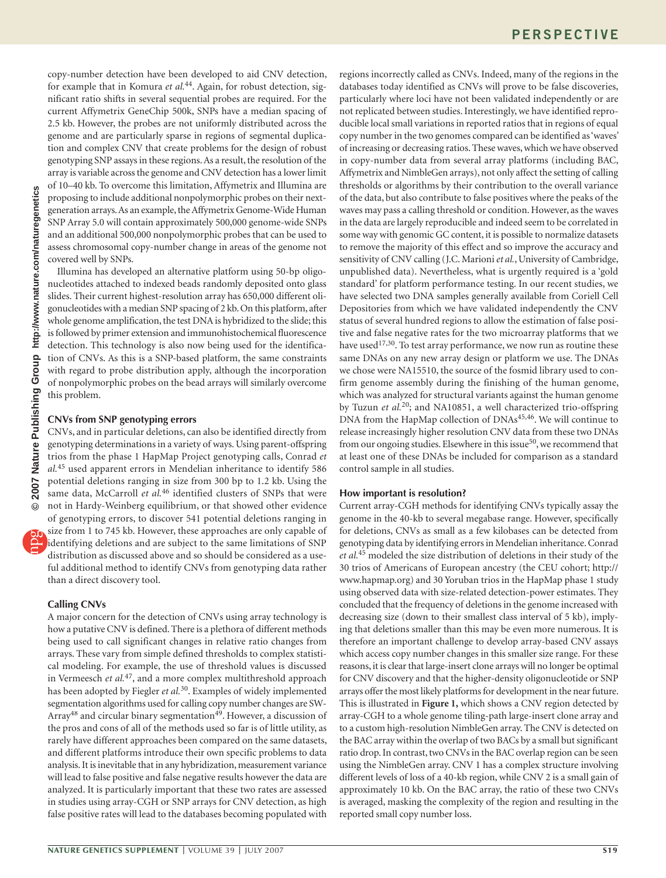copy-number detection have been developed to aid CNV detection, for example that in Komura et al.<sup>44</sup>. Again, for robust detection, significant ratio shifts in several sequential probes are required. For the current Affymetrix GeneChip 500k, SNPs have a median spacing of 2.5 kb. However, the probes are not uniformly distributed across the genome and are particularly sparse in regions of segmental duplication and complex CNV that create problems for the design of robust genotyping SNP assays in these regions. As a result, the resolution of the array is variable across the genome and CNV detection has a lower limit of 10–40 kb. To overcome this limitation, Affymetrix and Illumina are proposing to include additional nonpolymorphic probes on their nextgeneration arrays. As an example, the Affymetrix Genome-Wide Human SNP Array 5.0 will contain approximately 500,000 genome-wide SNPs and an additional 500,000 nonpolymorphic probes that can be used to assess chromosomal copy-number change in areas of the genome not covered well by SNPs.

Illumina has developed an alternative platform using 50-bp oligonucleotides attached to indexed beads randomly deposited onto glass slides. Their current highest-resolution array has 650,000 different oligonucleotides with a median SNP spacing of 2 kb. On this platform, after whole genome amplification, the test DNA is hybridized to the slide; this is followed by primer extension and immunohistochemical fluorescence detection. This technology is also now being used for the identification of CNVs. As this is a SNP-based platform, the same constraints with regard to probe distribution apply, although the incorporation of nonpolymorphic probes on the bead arrays will similarly overcome this problem.

#### **CNVs from SNP genotyping errors**

CNVs, and in particular deletions, can also be identified directly from genotyping determinations in a variety of ways. Using parent-offspring trios from the phase 1 HapMap Project genotyping calls, Conrad *et al.*45 used apparent errors in Mendelian inheritance to identify 586 potential deletions ranging in size from 300 bp to 1.2 kb. Using the same data, McCarroll *et al.*46 identified clusters of SNPs that were not in Hardy-Weinberg equilibrium, or that showed other evidence of genotyping errors, to discover 541 potential deletions ranging in size from 1 to 745 kb. However, these approaches are only capable of identifying deletions and are subject to the same limitations of SNP distribution as discussed above and so should be considered as a useful additional method to identify CNVs from genotyping data rather than a direct discovery tool.

#### **Calling CNVs**

A major concern for the detection of CNVs using array technology is how a putative CNV is defined. There is a plethora of different methods being used to call significant changes in relative ratio changes from arrays. These vary from simple defined thresholds to complex statistical modeling. For example, the use of threshold values is discussed in Vermeesch *et al.*47, and a more complex multithreshold approach has been adopted by Fiegler *et al.*30. Examples of widely implemented segmentation algorithms used for calling copy number changes are SW-Array<sup>48</sup> and circular binary segmentation<sup>49</sup>. However, a discussion of the pros and cons of all of the methods used so far is of little utility, as rarely have different approaches been compared on the same datasets, and different platforms introduce their own specific problems to data analysis. It is inevitable that in any hybridization, measurement variance will lead to false positive and false negative results however the data are analyzed. It is particularly important that these two rates are assessed in studies using array-CGH or SNP arrays for CNV detection, as high false positive rates will lead to the databases becoming populated with regions incorrectly called as CNVs. Indeed, many of the regions in the databases today identified as CNVs will prove to be false discoveries, particularly where loci have not been validated independently or are not replicated between studies. Interestingly, we have identified reproducible local small variations in reported ratios that in regions of equal copy number in the two genomes compared can be identified as 'waves' of increasing or decreasing ratios. These waves, which we have observed in copy-number data from several array platforms (including BAC, Affymetrix and NimbleGen arrays), not only affect the setting of calling thresholds or algorithms by their contribution to the overall variance of the data, but also contribute to false positives where the peaks of the waves may pass a calling threshold or condition. However, as the waves in the data are largely reproducible and indeed seem to be correlated in some way with genomic GC content, it is possible to normalize datasets to remove the majority of this effect and so improve the accuracy and sensitivity of CNV calling (J.C. Marioni *et al.*, University of Cambridge, unpublished data). Nevertheless, what is urgently required is a 'gold standard' for platform performance testing. In our recent studies, we have selected two DNA samples generally available from Coriell Cell Depositories from which we have validated independently the CNV status of several hundred regions to allow the estimation of false positive and false negative rates for the two microarray platforms that we have used<sup>17,30</sup>. To test array performance, we now run as routine these same DNAs on any new array design or platform we use. The DNAs we chose were NA15510, the source of the fosmid library used to confirm genome assembly during the finishing of the human genome, which was analyzed for structural variants against the human genome by Tuzun *et al.*20; and NA10851, a well characterized trio-offspring DNA from the HapMap collection of DNAs<sup>45,46</sup>. We will continue to release increasingly higher resolution CNV data from these two DNAs from our ongoing studies. Elsewhere in this issue<sup>50</sup>, we recommend that at least one of these DNAs be included for comparison as a standard control sample in all studies.

#### **How important is resolution?**

Current array-CGH methods for identifying CNVs typically assay the genome in the 40-kb to several megabase range. However, specifically for deletions, CNVs as small as a few kilobases can be detected from genotyping data by identifying errors in Mendelian inheritance. Conrad *et al.*45 modeled the size distribution of deletions in their study of the 30 trios of Americans of European ancestry (the CEU cohort; http:// www.hapmap.org) and 30 Yoruban trios in the HapMap phase 1 study using observed data with size-related detection-power estimates. They concluded that the frequency of deletions in the genome increased with decreasing size (down to their smallest class interval of 5 kb), implying that deletions smaller than this may be even more numerous. It is therefore an important challenge to develop array-based CNV assays which access copy number changes in this smaller size range. For these reasons, it is clear that large-insert clone arrays will no longer be optimal for CNV discovery and that the higher-density oligonucleotide or SNP arrays offer the most likely platforms for development in the near future. This is illustrated in **Figure 1,** which shows a CNV region detected by array-CGH to a whole genome tiling-path large-insert clone array and to a custom high-resolution NimbleGen array. The CNV is detected on the BAC array within the overlap of two BACs by a small but significant ratio drop. In contrast, two CNVs in the BAC overlap region can be seen using the NimbleGen array. CNV 1 has a complex structure involving different levels of loss of a 40-kb region, while CNV 2 is a small gain of approximately 10 kb. On the BAC array, the ratio of these two CNVs is averaged, masking the complexity of the region and resulting in the reported small copy number loss.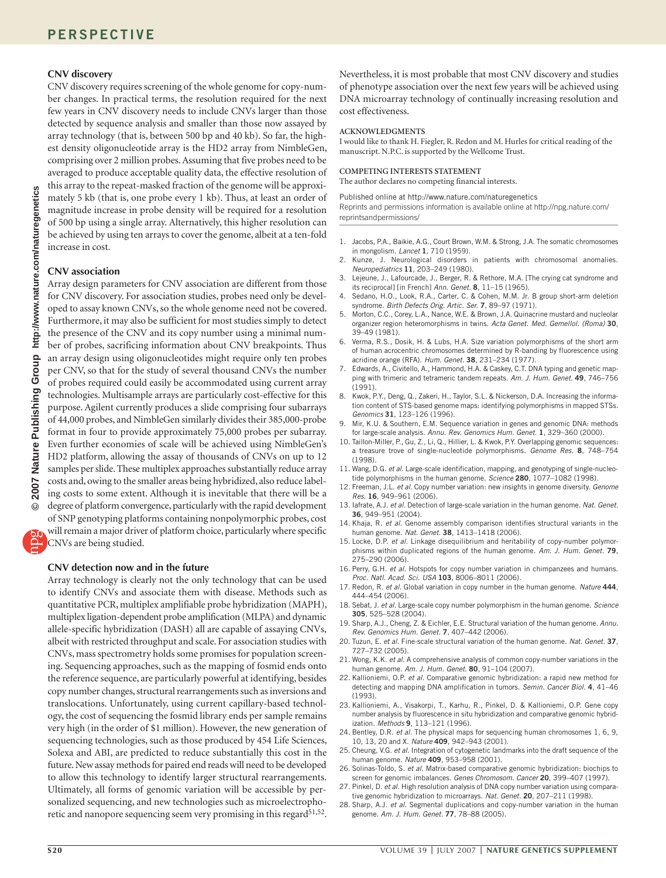#### **CNV discovery**

CNV discovery requires screening of the whole genome for copy-number changes. In practical terms, the resolution required for the next few years in CNV discovery needs to include CNVs larger than those detected by sequence analysis and smaller than those now assayed by array technology (that is, between 500 bp and 40 kb). So far, the highest density oligonucleotide array is the HD2 array from NimbleGen, comprising over 2 million probes. Assuming that five probes need to be averaged to produce acceptable quality data, the effective resolution of this array to the repeat-masked fraction of the genome will be approximately 5 kb (that is, one probe every 1 kb). Thus, at least an order of magnitude increase in probe density will be required for a resolution of 500 bp using a single array. Alternatively, this higher resolution can be achieved by using ten arrays to cover the genome, albeit at a ten-fold increase in cost.

Array design parameters for CNV association are different from those for CNV discovery. For association studies, probes need only be developed to assay known CNVs, so the whole genome need not be covered. Furthermore, it may also be sufficient for most studies simply to detect the presence of the CNV and its copy number using a minimal number of probes, sacrificing information about CNV breakpoints. Thus an array design using oligonucleotides might require only ten probes per CNV, so that for the study of several thousand CNVs the number of probes required could easily be accommodated using current array technologies. Multisample arrays are particularly cost-effective for this purpose. Agilent currently produces a slide comprising four subarrays of 44,000 probes, and NimbleGen similarly divides their 385,000-probe format in four to provide approximately 75,000 probes per subarray. Even further economies of scale will be achieved using NimbleGen's HD2 platform, allowing the assay of thousands of CNVs on up to 12 samples per slide. These multiplex approaches substantially reduce array costs and, owing to the smaller areas being hybridized, also reduce labeling costs to some extent. Although it is inevitable that there will be a degree of platform convergence, particularly with the rapid development

of SNP genotyping platforms containing nonpolymorphic probes, cost will remain a major driver of platform choice, particularly where specific CNVs are being studied.

#### **CNV detection now and in the future**

Array technology is clearly not the only technology that can be used to identify CNVs and associate them with disease. Methods such as quantitative PCR, multiplex amplifiable probe hybridization (MAPH), multiplex ligation-dependent probe amplification (MLPA) and dynamic allele-specific hybridization (DASH) all are capable of assaying CNVs, albeit with restricted throughput and scale. For association studies with CNVs, mass spectrometry holds some promises for population screening. Sequencing approaches, such as the mapping of fosmid ends onto the reference sequence, are particularly powerful at identifying, besides copy number changes, structural rearrangements such as inversions and translocations. Unfortunately, using current capillary-based technology, the cost of sequencing the fosmid library ends per sample remains very high (in the order of \$1 million). However, the new generation of sequencing technologies, such as those produced by 454 Life Sciences, Solexa and ABI, are predicted to reduce substantially this cost in the future. New assay methods for paired end reads will need to be developed to allow this technology to identify larger structural rearrangements. Ultimately, all forms of genomic variation will be accessible by personalized sequencing, and new technologies such as microelectrophoretic and nanopore sequencing seem very promising in this regard<sup>51,52</sup>.

Nevertheless, it is most probable that most CNV discovery and studies of phenotype association over the next few years will be achieved using DNA microarray technology of continually increasing resolution and cost effectiveness.

#### **ACKNOWLEDGMENTS**

I would like to thank H. Fiegler, R. Redon and M. Hurles for critical reading of the manuscript. N.P.C. is supported by the Wellcome Trust.

#### **COMPETING INTERESTS STATEMENT**

The author declares no competing financial interests.

Published online at http://www.nature.com/naturegenetics

Reprints and permissions information is available online at http://npg.nature.com/ reprintsandpermissions/

- 1. Jacobs, P.A., Baikie, A.G., Court Brown, W.M. & Strong, J.A. The somatic chromosomes in mongolism. Lancet **1**, 710 (1959).
- 2. Kunze, J. Neurological disorders in patients with chromosomal anomalies. Neuropediatrics **11**, 203–249 (1980).
- 3. Lejeune, J., Lafourcade, J., Berger, R. & Rethore, M.A. [The crying cat syndrome and its reciprocal] [in French] Ann. Genet. **8**, 11–15 (1965).
- 4. Sedano, H.O., Look, R.A., Carter, C. & Cohen, M.M. Jr. B group short-arm deletion syndrome. Birth Defects Orig. Artic. Ser. **7**, 89–97 (1971).
- 5. Morton, C.C., Corey, L.A., Nance, W.E. & Brown, J.A. Quinacrine mustard and nucleolar organizer region heteromorphisms in twins. Acta Genet. Med. Gemellol. (Roma) **30**, 39–49 (1981).
- 6. Verma, R.S., Dosik, H. & Lubs, H.A. Size variation polymorphisms of the short arm of human acrocentric chromosomes determined by R-banding by fluorescence using acridine orange (RFA). Hum. Genet. **38**, 231–234 (1977).
- 7. Edwards, A., Civitello, A., Hammond, H.A. & Caskey, C.T. DNA typing and genetic mapping with trimeric and tetrameric tandem repeats. Am. J. Hum. Genet. **49**, 746–756 (1991).
- 8. Kwok, P.Y., Deng, Q., Zakeri, H., Taylor, S.L. & Nickerson, D.A. Increasing the information content of STS-based genome maps: identifying polymorphisms in mapped STSs. Genomics **31**, 123–126 (1996).
- 9. Mir, K.U. & Southern, E.M. Sequence variation in genes and genomic DNA: methods for large-scale analysis. Annu. Rev. Genomics Hum. Genet. **1**, 329–360 (2000).
- 10. Taillon-Miller, P., Gu, Z., Li, Q., Hillier, L. & Kwok, P.Y. Overlapping genomic sequences: a treasure trove of single-nucleotide polymorphisms. Genome Res. **8**, 748–754 (1998).
- 11. Wang, D.G. et al. Large-scale identification, mapping, and genotyping of single-nucleotide polymorphisms in the human genome. Science **280**, 1077–1082 (1998).
- 12. Freeman, J.L. et al. Copy number variation: new insights in genome diversity. Genome Res. **16**, 949–961 (2006).
- 13. Iafrate, A.J. et al. Detection of large-scale variation in the human genome. Nat. Genet. **36**, 949–951 (2004).
- 14. Khaja, R. et al. Genome assembly comparison identifies structural variants in the human genome. Nat. Genet. **38**, 1413–1418 (2006).
- 15. Locke, D.P. et al. Linkage disequilibrium and heritability of copy-number polymorphisms within duplicated regions of the human genome. Am. J. Hum. Genet. **79**, 275–290 (2006).
- 16. Perry, G.H. et al. Hotspots for copy number variation in chimpanzees and humans. Proc. Natl. Acad. Sci. USA **103**, 8006–8011 (2006).
- 17. Redon, R. et al. Global variation in copy number in the human genome. Nature **444**, 444–454 (2006).
- 18. Sebat, J. et al. Large-scale copy number polymorphism in the human genome. Science **305**, 525–528 (2004).
- 19. Sharp, A.J., Cheng, Z. & Eichler, E.E. Structural variation of the human genome. Annu. Rev. Genomics Hum. Genet. **7**, 407–442 (2006).
- 20. Tuzun, E. et al. Fine-scale structural variation of the human genome. Nat. Genet. **37**, 727–732 (2005).
- 21. Wong, K.K. et al. A comprehensive analysis of common copy-number variations in the human genome. Am. J. Hum. Genet. **80**, 91–104 (2007).
- 22. Kallioniemi, O.P. et al. Comparative genomic hybridization: a rapid new method for detecting and mapping DNA amplification in tumors. Semin. Cancer Biol. **4**, 41–46 (1993).
- 23. Kallioniemi, A., Visakorpi, T., Karhu, R., Pinkel, D. & Kallioniemi, O.P. Gene copy number analysis by fluorescence in situ hybridization and comparative genomic hybridization. Methods **9**, 113–121 (1996).
- 24. Bentley, D.R. et al. The physical maps for sequencing human chromosomes 1, 6, 9, 10, 13, 20 and X. Nature **409**, 942–943 (2001).
- 25. Cheung, V.G. et al. Integration of cytogenetic landmarks into the draft sequence of the human genome. Nature **409**, 953–958 (2001).
- 26. Solinas-Toldo, S. et al. Matrix-based comparative genomic hybridization: biochips to screen for genomic imbalances. Genes Chromosom. Cancer **20**, 399–407 (1997).
- 27. Pinkel, D. et al. High resolution analysis of DNA copy number variation using comparative genomic hybridization to microarrays. Nat. Genet. **20**, 207–211 (1998).
- 28. Sharp, A.J. et al. Segmental duplications and copy-number variation in the human genome. Am. J. Hum. Genet. **77**, 78–88 (2005).